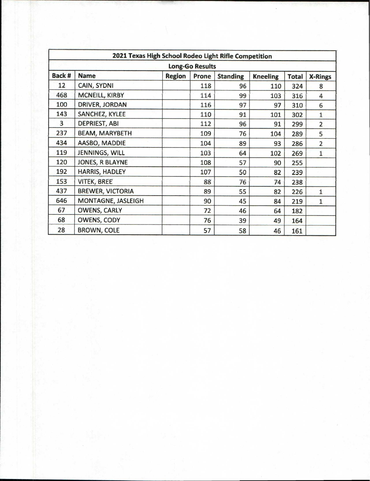| 2021 Texas High School Rodeo Light Rifle Competition |                         |               |       |                 |                 |              |                |  |  |
|------------------------------------------------------|-------------------------|---------------|-------|-----------------|-----------------|--------------|----------------|--|--|
| <b>Long-Go Results</b>                               |                         |               |       |                 |                 |              |                |  |  |
| Back #                                               | <b>Name</b>             | <b>Region</b> | Prone | <b>Standing</b> | <b>Kneeling</b> | <b>Total</b> | <b>X-Rings</b> |  |  |
| 12                                                   | CAIN, SYDNI             |               | 118   | 96              | 110             | 324          | 8              |  |  |
| 468                                                  | MCNEILL, KIRBY          |               | 114   | 99              | 103             | 316          | 4              |  |  |
| 100                                                  | DRIVER, JORDAN          |               | 116   | 97              | 97              | 310          | 6              |  |  |
| 143                                                  | SANCHEZ, KYLEE          |               | 110   | 91              | 101             | 302          | $\mathbf{1}$   |  |  |
| 3                                                    | <b>DEPRIEST, ABI</b>    |               | 112   | 96              | 91              | 299          | $\overline{2}$ |  |  |
| 237                                                  | <b>BEAM, MARYBETH</b>   |               | 109   | 76              | 104             | 289          | 5              |  |  |
| 434                                                  | <b>AASBO, MADDIE</b>    |               | 104   | 89              | 93              | 286          | $\overline{2}$ |  |  |
| 119                                                  | JENNINGS, WILL          |               | 103   | 64              | 102             | 269          | $\mathbf{1}$   |  |  |
| 120                                                  | JONES, R BLAYNE         |               | 108   | 57              | 90              | 255          |                |  |  |
| 192                                                  | <b>HARRIS, HADLEY</b>   |               | 107   | 50              | 82              | 239          |                |  |  |
| 153                                                  | <b>VITEK, BREE</b>      |               | 88    | 76              | 74              | 238          |                |  |  |
| 437                                                  | <b>BREWER, VICTORIA</b> |               | 89    | 55              | 82              | 226          | $\mathbf{1}$   |  |  |
| 646                                                  | MONTAGNE, JASLEIGH      |               | 90    | 45              | 84              | 219          | 1              |  |  |
| 67                                                   | <b>OWENS, CARLY</b>     |               | 72    | 46              | 64              | 182          |                |  |  |
| 68                                                   | OWENS, CODY             |               | 76    | 39              | 49              | 164          |                |  |  |
| 28                                                   | <b>BROWN, COLE</b>      |               | 57    | 58              | 46              | 161          |                |  |  |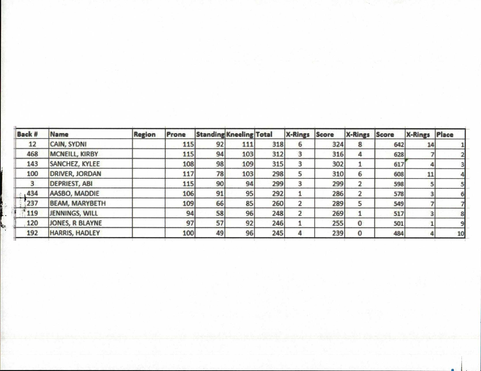| <b>Back #</b> | Name                  | <b>Region</b> | Prone |    | <b>Standing Kneeling Total</b> |     | <b>X-Rings Score</b> |     | <b>X-Rings Score</b> |     | X-Rings | Place |
|---------------|-----------------------|---------------|-------|----|--------------------------------|-----|----------------------|-----|----------------------|-----|---------|-------|
| 12            | <b>CAIN, SYDNI</b>    |               | 115   | 92 | 111                            | 318 | ь                    | 324 | 8                    | 642 | 14      |       |
| 468           | <b>MCNEILL, KIRBY</b> |               | 115   | 94 | 103                            | 312 | 3                    | 316 | 4                    | 628 |         |       |
| 143           | SANCHEZ, KYLEE        |               | 108   | 98 | 109                            | 315 | 3                    | 302 |                      | 617 |         |       |
| 100           | <b>DRIVER, JORDAN</b> |               | 117   | 78 | 103                            | 298 |                      | 310 | 6                    | 608 | 11      |       |
|               | <b>DEPRIEST, ABI</b>  |               | 115   | 90 | 94                             | 299 |                      | 299 |                      | 598 |         |       |
| 1434          | AASBO, MADDIE         |               | 106   | 91 | 95                             | 292 |                      | 286 |                      | 578 |         |       |
| 237           | <b>BEAM, MARYBETH</b> |               | 109   | 66 | 85                             | 260 |                      | 289 |                      | 549 |         |       |
| 119           | JENNINGS, WILL        |               | 94    | 58 | 96                             | 248 |                      | 269 |                      | 517 |         |       |
| 120           | JONES, R BLAYNE       |               | 97    | 57 | 92                             | 246 |                      | 255 | 0                    | 501 |         |       |
| 192           | <b>HARRIS, HADLEY</b> |               | 100   | 49 | 96                             | 245 |                      | 239 |                      | 484 |         | 10    |

 $\sim$